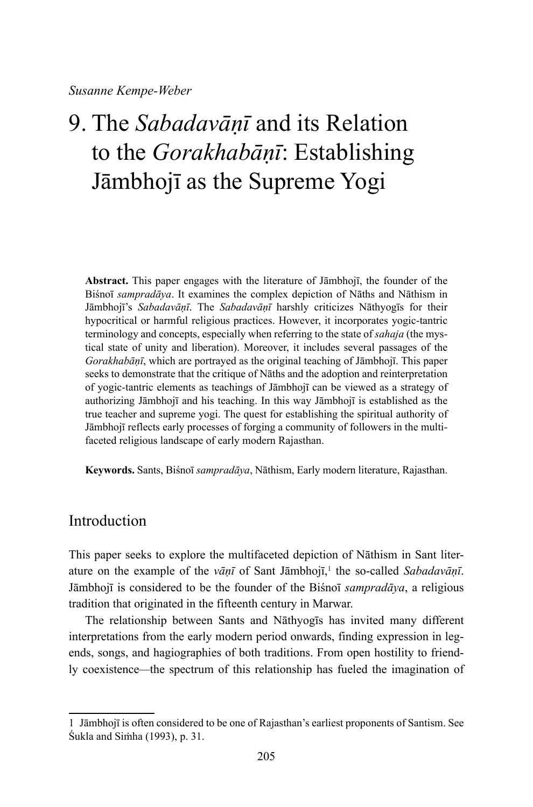*Susanne Kempe-Weber*

# 9. The *Sabadavāṇī* and its Relation to the *Gorakhabāṇī*: Establishing Jāmbhojī as the Supreme Yogi

**Abstract.** This paper engages with the literature of Jāmbhojī, the founder of the Biśnoī *sampradāya*. It examines the complex depiction of Nāths and Nāthism in Jāmbhojī's *Sabadavāṇī*. The *Sabadavāṇī* harshly criticizes Nāthyogīs for their hypocritical or harmful religious practices. However, it incorporates yogic-tantric terminology and concepts, especially when referring to the state of *sahaja* (the mystical state of unity and liberation). Moreover, it includes several passages of the *Gorakhabāṇī*, which are portrayed as the original teaching of Jāmbhojī. This paper seeks to demonstrate that the critique of Nāths and the adoption and reinterpretation of yogic-tantric elements as teachings of Jāmbhojī can be viewed as a strategy of authorizing Jāmbhojī and his teaching. In this way Jāmbhojī is established as the true teacher and supreme yogi. The quest for establishing the spiritual authority of Jāmbhojī reflects early processes of forging a community of followers in the multifaceted religious landscape of early modern Rajasthan.

**Keywords.** Sants, Biśnoī *sampradāya*, Nāthism, Early modern literature, Rajasthan.

## Introduction

This paper seeks to explore the multifaceted depiction of Nāthism in Sant literature on the example of the *vāṇī* of Sant Jāmbhojī,<sup>1</sup> the so-called *Sabadavāṇī*. Jāmbhojī is considered to be the founder of the Biśnoī *sampradāya*, a religious tradition that originated in the fifteenth century in Marwar.

The relationship between Sants and Nāthyogīs has invited many different interpretations from the early modern period onwards, finding expression in legends, songs, and hagiographies of both traditions. From open hostility to friendly coexistence*—*the spectrum of this relationship has fueled the imagination of

<sup>1</sup> Jāmbhojī is often considered to be one of Rajasthan's earliest proponents of Santism. See Śukla and Siṁha (1993), p. 31.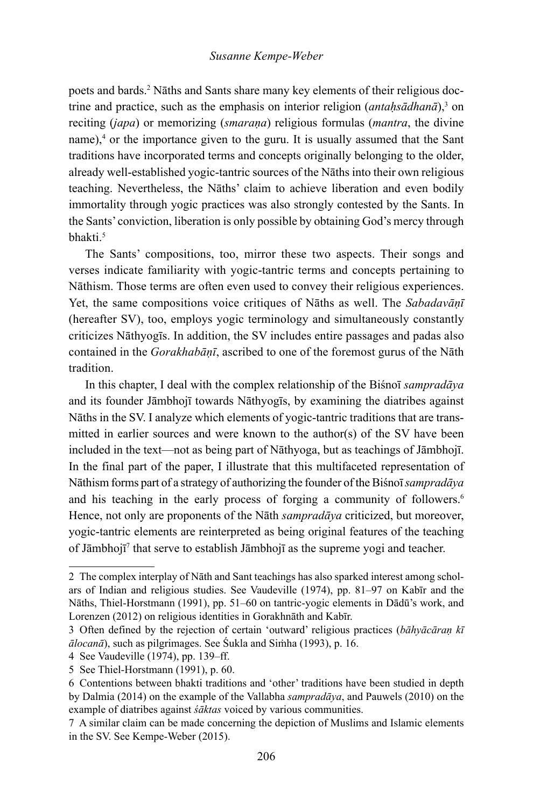poets and bards.<sup>2</sup> Nāths and Sants share many key elements of their religious doctrine and practice, such as the emphasis on interior religion (*antahsādhanā*),<sup>3</sup> on reciting (*japa*) or memorizing (*smaraṇa*) religious formulas (*mantra*, the divine name),<sup>4</sup> or the importance given to the guru. It is usually assumed that the Sant traditions have incorporated terms and concepts originally belonging to the older, already well-established yogic-tantric sources of the Nāths into their own religious teaching. Nevertheless, the Nāths' claim to achieve liberation and even bodily immortality through yogic practices was also strongly contested by the Sants. In the Sants' conviction, liberation is only possible by obtaining God's mercy through bhakti<sup>5</sup>

The Sants' compositions, too, mirror these two aspects. Their songs and verses indicate familiarity with yogic-tantric terms and concepts pertaining to Nāthism. Those terms are often even used to convey their religious experiences. Yet, the same compositions voice critiques of Nāths as well. The *Sabadavāṇī*  (hereafter SV), too, employs yogic terminology and simultaneously constantly criticizes Nāthyogīs. In addition, the SV includes entire passages and padas also contained in the *Gorakhabāṇī*, ascribed to one of the foremost gurus of the Nāth tradition.

In this chapter, I deal with the complex relationship of the Biśnoī *sampradāya* and its founder Jāmbhojī towards Nāthyogīs, by examining the diatribes against Nāths in the SV. I analyze which elements of yogic-tantric traditions that are transmitted in earlier sources and were known to the author(s) of the SV have been included in the text—not as being part of Nāthyoga, but as teachings of Jāmbhojī. In the final part of the paper, I illustrate that this multifaceted representation of Nāthism forms part of a strategy of authorizing the founder of the Biśnoī *sampradāya* and his teaching in the early process of forging a community of followers.<sup>6</sup> Hence, not only are proponents of the Nāth *sampradāya* criticized, but moreover, yogic-tantric elements are reinterpreted as being original features of the teaching of Jāmbhojī<sup>7</sup> that serve to establish Jāmbhojī as the supreme yogi and teacher.

<sup>2</sup> The complex interplay of Nāth and Sant teachings has also sparked interest among scholars of Indian and religious studies. See Vaudeville (1974), pp. 81–97 on Kabīr and the Nāths, Thiel-Horstmann (1991), pp. 51–60 on tantric-yogic elements in Dādū's work, and Lorenzen (2012) on religious identities in Gorakhnāth and Kabīr.

<sup>3</sup> Often defined by the rejection of certain 'outward' religious practices (*bāhyācāraṇ kī ālocanā*), such as pilgrimages. See Śukla and Siṁha (1993), p. 16.

<sup>4</sup> See Vaudeville (1974), pp. 139–ff.

<sup>5</sup> See Thiel-Horstmann (1991), p. 60.

<sup>6</sup> Contentions between bhakti traditions and 'other' traditions have been studied in depth by Dalmia (2014) on the example of the Vallabha *sampradāya*, and Pauwels (2010) on the example of diatribes against *śāktas* voiced by various communities.

<sup>7</sup> A similar claim can be made concerning the depiction of Muslims and Islamic elements in the SV. See Kempe-Weber (2015).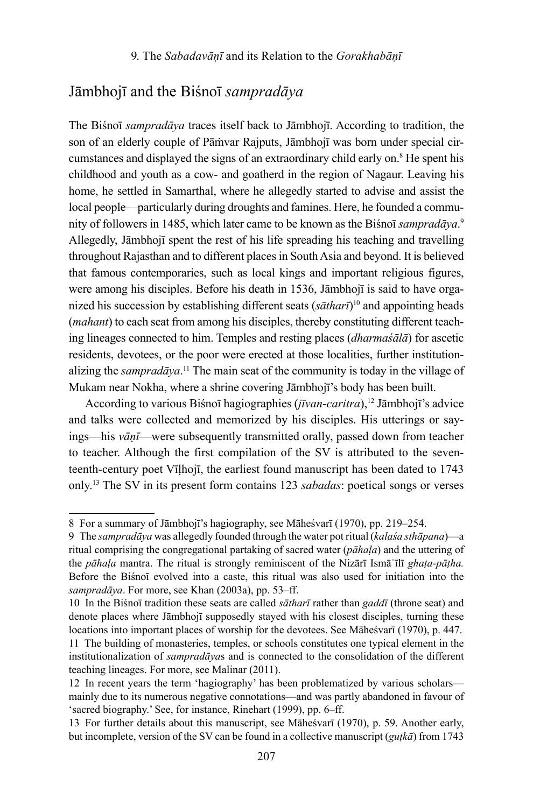## Jāmbhojī and the Biśnoī *sampradāya*

The Biśnoī *sampradāya* traces itself back to Jāmbhojī. According to tradition, the son of an elderly couple of Pāṁvar Rajputs, Jāmbhojī was born under special circumstances and displayed the signs of an extraordinary child early on.<sup>8</sup> He spent his childhood and youth as a cow- and goatherd in the region of Nagaur. Leaving his home, he settled in Samarthal, where he allegedly started to advise and assist the local people—particularly during droughts and famines. Here, he founded a community of followers in 1485, which later came to be known as the Biśnoī *sampradāya*. 9 Allegedly, Jāmbhojī spent the rest of his life spreading his teaching and travelling throughout Rajasthan and to different places in South Asia and beyond. It is believed that famous contemporaries, such as local kings and important religious figures, were among his disciples. Before his death in 1536, Jāmbhojī is said to have organized his succession by establishing different seats (*sātharī*) <sup>10</sup> and appointing heads (*mahant*) to each seat from among his disciples, thereby constituting different teaching lineages connected to him. Temples and resting places (*dharmaśālā*) for ascetic residents, devotees, or the poor were erected at those localities, further institutionalizing the *sampradāya*. <sup>11</sup> The main seat of the community is today in the village of Mukam near Nokha, where a shrine covering Jāmbhojī's body has been built.

According to various Biśnoī hagiographies (*jīvan-caritra*),<sup>12</sup> Jāmbhojī's advice and talks were collected and memorized by his disciples. His utterings or sayings—his *vāṇī*—were subsequently transmitted orally, passed down from teacher to teacher. Although the first compilation of the SV is attributed to the seventeenth-century poet Vīḷhojī, the earliest found manuscript has been dated to 1743 only.13 The SV in its present form contains 123 *sabadas*: poetical songs or verses

<sup>8</sup> For a summary of Jāmbhojī's hagiography, see Māheśvarī (1970), pp. 219–254.

<sup>9</sup> The *sampradāya* was allegedly founded through the water pot ritual (*kalaśa sthāpana*)—a ritual comprising the congregational partaking of sacred water (*pāhaḷa*) and the uttering of the *pāhaḷa* mantra. The ritual is strongly reminiscent of the Nizārī Ismāʿīlī *ghaṭa*-*pāṭha.*  Before the Biśnoī evolved into a caste, this ritual was also used for initiation into the *sampradāya*. For more, see Khan (2003a), pp. 53–ff.

<sup>10</sup> In the Biśnoī tradition these seats are called *sātharī* rather than *gaddī* (throne seat) and denote places where Jāmbhojī supposedly stayed with his closest disciples, turning these locations into important places of worship for the devotees. See Māheśvarī (1970), p. 447.

<sup>11</sup> The building of monasteries, temples, or schools constitutes one typical element in the institutionalization of *sampradāya*s and is connected to the consolidation of the different teaching lineages. For more, see Malinar (2011).

<sup>12</sup> In recent years the term 'hagiography' has been problematized by various scholars mainly due to its numerous negative connotations—and was partly abandoned in favour of 'sacred biography.' See, for instance, Rinehart (1999), pp. 6–ff.

<sup>13</sup> For further details about this manuscript, see Māheśvarī (1970), p. 59. Another early, but incomplete, version of the SV can be found in a collective manuscript (*guṭkā*) from 1743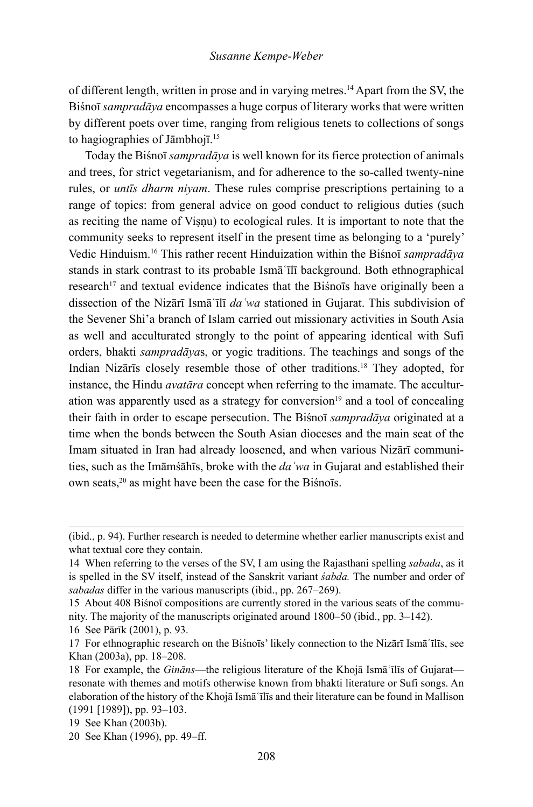of different length, written in prose and in varying metres.<sup>14</sup> Apart from the SV, the Biśnoī *sampradāya* encompasses a huge corpus of literary works that were written by different poets over time, ranging from religious tenets to collections of songs to hagiographies of Jāmbhojī.<sup>15</sup>

Today the Biśnoī *sampradāya* is well known for its fierce protection of animals and trees, for strict vegetarianism, and for adherence to the so-called twenty-nine rules, or *untīs dharm niyam*. These rules comprise prescriptions pertaining to a range of topics: from general advice on good conduct to religious duties (such as reciting the name of Visnu) to ecological rules. It is important to note that the community seeks to represent itself in the present time as belonging to a 'purely' Vedic Hinduism.<sup>16</sup> This rather recent Hinduization within the Biśnoī *sampradāya* stands in stark contrast to its probable Ismāʿīlī background. Both ethnographical research<sup>17</sup> and textual evidence indicates that the Bisnots have originally been a dissection of the Nizārī Ismāʿīlī *daʿwa* stationed in Gujarat. This subdivision of the Sevener Shi'a branch of Islam carried out missionary activities in South Asia as well and acculturated strongly to the point of appearing identical with Sufi orders, bhakti *sampradāya*s, or yogic traditions. The teachings and songs of the Indian Nizārīs closely resemble those of other traditions.18 They adopted, for instance, the Hindu *avatāra* concept when referring to the imamate. The acculturation was apparently used as a strategy for conversion $19$  and a tool of concealing their faith in order to escape persecution. The Biśnoī *sampradāya* originated at a time when the bonds between the South Asian dioceses and the main seat of the Imam situated in Iran had already loosened, and when various Nizārī communities, such as the Imāmśāhīs, broke with the *daʿwa* in Gujarat and established their own seats,<sup>20</sup> as might have been the case for the Biśnoīs.

<sup>(</sup>ibid., p. 94). Further research is needed to determine whether earlier manuscripts exist and what textual core they contain.

<sup>14</sup> When referring to the verses of the SV, I am using the Rajasthani spelling *sabada*, as it is spelled in the SV itself, instead of the Sanskrit variant *śabda.* The number and order of *sabadas* differ in the various manuscripts (ibid., pp. 267–269).

<sup>15</sup> About 408 Biśnoī compositions are currently stored in the various seats of the community. The majority of the manuscripts originated around 1800–50 (ibid., pp. 3–142).

<sup>16</sup> See Pārīk (2001), p. 93.

<sup>17</sup> For ethnographic research on the Biśnoīs' likely connection to the Nizārī Ismāʿīlīs, see Khan (2003a), pp. 18–208.

<sup>18</sup> For example, the *Gināns*—the religious literature of the Khojā Ismāʿīlīs of Gujarat resonate with themes and motifs otherwise known from bhakti literature or Sufi songs. An elaboration of the history of the Khojā Ismāʿīlīs and their literature can be found in Mallison (1991 [1989]), pp. 93–103.

<sup>19</sup> See Khan (2003b).

<sup>20</sup> See Khan (1996), pp. 49–ff.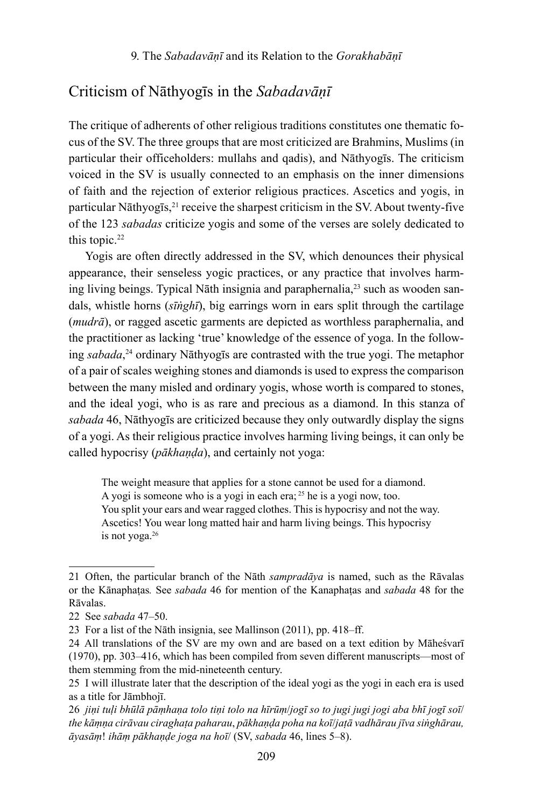## Criticism of Nāthyogīs in the *Sabadavāṇī*

The critique of adherents of other religious traditions constitutes one thematic focus of the SV. The three groups that are most criticized are Brahmins, Muslims (in particular their officeholders: mullahs and qadis), and Nāthyogīs. The criticism voiced in the SV is usually connected to an emphasis on the inner dimensions of faith and the rejection of exterior religious practices. Ascetics and yogis, in particular Nāthyogīs, $^{21}$  receive the sharpest criticism in the SV. About twenty-five of the 123 *sabadas* criticize yogis and some of the verses are solely dedicated to this topic.<sup>22</sup>

Yogis are often directly addressed in the SV, which denounces their physical appearance, their senseless yogic practices, or any practice that involves harming living beings. Typical Nāth insignia and paraphernalia,<sup>23</sup> such as wooden sandals, whistle horns (*sīṅghī*), big earrings worn in ears split through the cartilage (*mudrā*), or ragged ascetic garments are depicted as worthless paraphernalia, and the practitioner as lacking 'true' knowledge of the essence of yoga. In the following *sabada*, <sup>24</sup> ordinary Nāthyogīs are contrasted with the true yogi. The metaphor of a pair of scales weighing stones and diamonds is used to express the comparison between the many misled and ordinary yogis, whose worth is compared to stones, and the ideal yogi, who is as rare and precious as a diamond. In this stanza of *sabada* 46, Nāthyogīs are criticized because they only outwardly display the signs of a yogi. As their religious practice involves harming living beings, it can only be called hypocrisy (*pākhaṇḍa*), and certainly not yoga:

The weight measure that applies for a stone cannot be used for a diamond. A yogi is someone who is a yogi in each era;  $2<sup>5</sup>$  he is a yogi now, too. You split your ears and wear ragged clothes. This is hypocrisy and not the way. Ascetics! You wear long matted hair and harm living beings. This hypocrisy is not yoga.<sup>26</sup>

<sup>21</sup> Often, the particular branch of the Nāth *sampradāya* is named, such as the Rāvalas or the Kānaphaṭas*.* See *sabada* 46 for mention of the Kanaphaṭas and *sabada* 48 for the Rāvalas.

<sup>22</sup> See *sabada* 47–50.

<sup>23</sup> For a list of the Nāth insignia, see Mallinson (2011), pp. 418–ff.

<sup>24</sup> All translations of the SV are my own and are based on a text edition by Māheśvarī (1970), pp. 303–416, which has been compiled from seven different manuscripts—most of them stemming from the mid-nineteenth century.

<sup>25</sup> I will illustrate later that the description of the ideal yogi as the yogi in each era is used as a title for Jāmbhojī.

<sup>26</sup> *jiṇi tuḷi bhūlā pāṃhaṇa tolo tiṇi tolo na hīrūṃ*/*jogī so to jugi jugi jogi aba bhī jogī soī*/ *the kāṃṇa cirāvau ciraghaṭa paharau*, *pākhaṇḍa poha na koī*/*jaṭā vadhārau jīva siṅghārau, āyasāṃ*! *ihāṃ pākhaṇḍe joga na hoī*/ (SV, *sabada* 46, lines 5–8).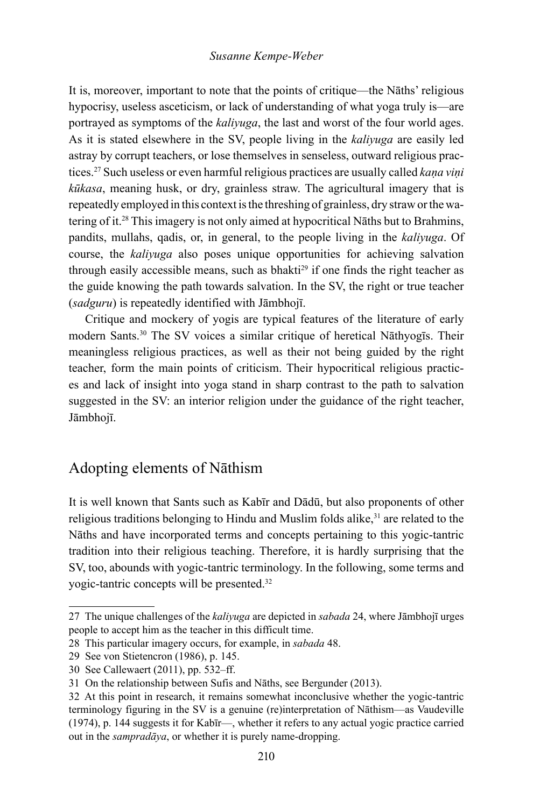It is, moreover, important to note that the points of critique—the Nāths' religious hypocrisy, useless asceticism, or lack of understanding of what yoga truly is—are portrayed as symptoms of the *kaliyuga*, the last and worst of the four world ages. As it is stated elsewhere in the SV, people living in the *kaliyuga* are easily led astray by corrupt teachers, or lose themselves in senseless, outward religious practices.<sup>27</sup> Such useless or even harmful religious practices are usually called *kana vini kūkasa*, meaning husk, or dry, grainless straw. The agricultural imagery that is repeatedly employed in this context is the threshing of grainless, dry straw or the watering of it.28 This imagery is not only aimed at hypocritical Nāths but to Brahmins, pandits, mullahs, qadis, or, in general, to the people living in the *kaliyuga*. Of course, the *kaliyuga* also poses unique opportunities for achieving salvation through easily accessible means, such as bhakti<sup>29</sup> if one finds the right teacher as the guide knowing the path towards salvation. In the SV, the right or true teacher (*sadguru*) is repeatedly identified with Jāmbhojī.

Critique and mockery of yogis are typical features of the literature of early modern Sants.30 The SV voices a similar critique of heretical Nāthyogīs. Their meaningless religious practices, as well as their not being guided by the right teacher, form the main points of criticism. Their hypocritical religious practices and lack of insight into yoga stand in sharp contrast to the path to salvation suggested in the SV: an interior religion under the guidance of the right teacher, Jāmbhojī.

## Adopting elements of Nāthism

It is well known that Sants such as Kabīr and Dādū, but also proponents of other religious traditions belonging to Hindu and Muslim folds alike,<sup>31</sup> are related to the Nāths and have incorporated terms and concepts pertaining to this yogic-tantric tradition into their religious teaching. Therefore, it is hardly surprising that the SV, too, abounds with yogic-tantric terminology. In the following, some terms and yogic-tantric concepts will be presented.32

<sup>27</sup> The unique challenges of the *kaliyuga* are depicted in *sabada* 24, where Jāmbhojī urges people to accept him as the teacher in this difficult time.

<sup>28</sup> This particular imagery occurs, for example, in *sabada* 48.

<sup>29</sup> See von Stietencron (1986), p. 145.

<sup>30</sup> See Callewaert (2011), pp. 532–ff.

<sup>31</sup> On the relationship between Sufis and Nāths, see Bergunder (2013).

<sup>32</sup> At this point in research, it remains somewhat inconclusive whether the yogic-tantric terminology figuring in the SV is a genuine (re)interpretation of Nāthism—as Vaudeville (1974), p. 144 suggests it for Kabīr—, whether it refers to any actual yogic practice carried out in the *sampradāya*, or whether it is purely name-dropping.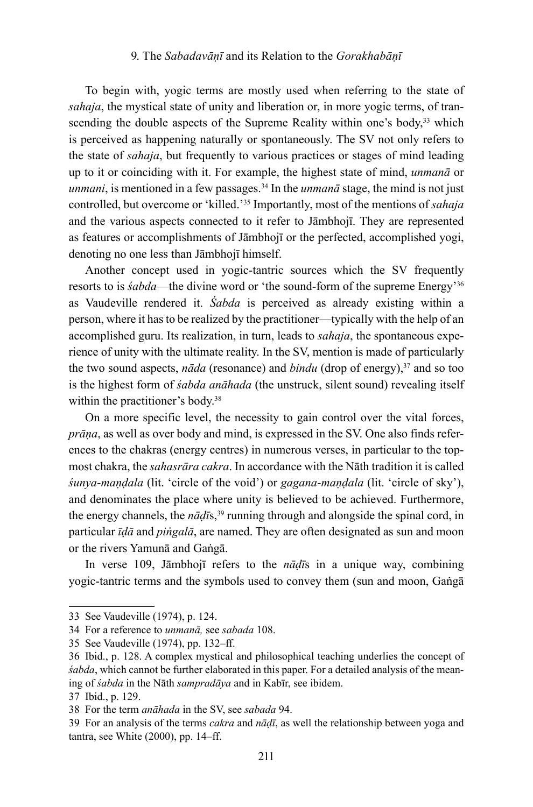#### 9. The *Sabadavāṇī* and its Relation to the *Gorakhabāṇī*

To begin with, yogic terms are mostly used when referring to the state of *sahaja*, the mystical state of unity and liberation or, in more yogic terms, of transcending the double aspects of the Supreme Reality within one's body,<sup>33</sup> which is perceived as happening naturally or spontaneously. The SV not only refers to the state of *sahaja*, but frequently to various practices or stages of mind leading up to it or coinciding with it. For example, the highest state of mind, *unmanā* or *unmani*, is mentioned in a few passages.<sup>34</sup> In the *unmanā* stage, the mind is not just controlled, but overcome or 'killed.'35 Importantly, most of the mentions of *sahaja*  and the various aspects connected to it refer to Jāmbhojī. They are represented as features or accomplishments of Jāmbhojī or the perfected, accomplished yogi, denoting no one less than Jāmbhojī himself.

Another concept used in yogic-tantric sources which the SV frequently resorts to is *śabda*—the divine word or 'the sound-form of the supreme Energy'36 as Vaudeville rendered it. *Śabda* is perceived as already existing within a person, where it has to be realized by the practitioner—typically with the help of an accomplished guru. Its realization, in turn, leads to *sahaja*, the spontaneous experience of unity with the ultimate reality. In the SV, mention is made of particularly the two sound aspects, *nāda* (resonance) and *bindu* (drop of energy),<sup>37</sup> and so too is the highest form of *śabda anāhada* (the unstruck, silent sound) revealing itself within the practitioner's body.<sup>38</sup>

On a more specific level, the necessity to gain control over the vital forces, *prāṇa*, as well as over body and mind, is expressed in the SV. One also finds references to the chakras (energy centres) in numerous verses, in particular to the topmost chakra, the *sahasrāra cakra*. In accordance with the Nāth tradition it is called *śunya*-*maṇḍala* (lit. 'circle of the void') or *gagana*-*maṇḍala* (lit. 'circle of sky'), and denominates the place where unity is believed to be achieved. Furthermore, the energy channels, the *nāḍī*s,<sup>39</sup> running through and alongside the spinal cord, in particular *īḍā* and *piṅgalā*, are named. They are often designated as sun and moon or the rivers Yamunā and Gaṅgā.

In verse 109, Jāmbhojī refers to the *nāḍī*s in a unique way, combining yogic-tantric terms and the symbols used to convey them (sun and moon, Gaṅgā

<sup>33</sup> See Vaudeville (1974), p. 124.

<sup>34</sup> For a reference to *unmanā,* see *sabada* 108.

<sup>35</sup> See Vaudeville (1974), pp. 132–ff.

<sup>36</sup> Ibid., p. 128. A complex mystical and philosophical teaching underlies the concept of *śabda*, which cannot be further elaborated in this paper. For a detailed analysis of the meaning of *śabda* in the Nāth *sampradāya* and in Kabīr, see ibidem.

<sup>37</sup> Ibid., p. 129.

<sup>38</sup> For the term *anāhada* in the SV, see *sabada* 94.

<sup>39</sup> For an analysis of the terms *cakra* and *nāḍī*, as well the relationship between yoga and tantra, see White (2000), pp. 14–ff.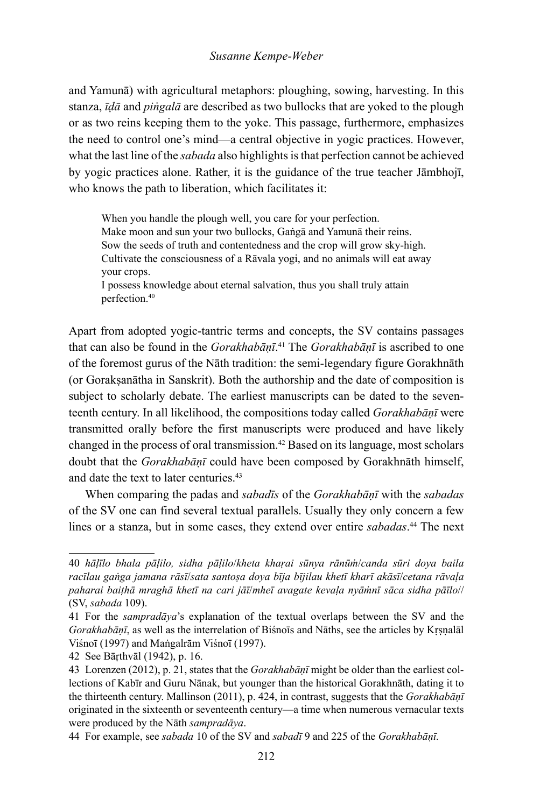#### *Susanne Kempe-Weber*

and Yamunā) with agricultural metaphors: ploughing, sowing, harvesting. In this stanza, *īḍā* and *piṅgalā* are described as two bullocks that are yoked to the plough or as two reins keeping them to the yoke. This passage, furthermore, emphasizes the need to control one's mind—a central objective in yogic practices. However, what the last line of the *sabada* also highlights is that perfection cannot be achieved by yogic practices alone. Rather, it is the guidance of the true teacher Jāmbhojī, who knows the path to liberation, which facilitates it:

When you handle the plough well, you care for your perfection. Make moon and sun your two bullocks, Gaṅgā and Yamunā their reins. Sow the seeds of truth and contentedness and the crop will grow sky-high. Cultivate the consciousness of a Rāvala yogi, and no animals will eat away your crops. I possess knowledge about eternal salvation, thus you shall truly attain

perfection.<sup>40</sup>

Apart from adopted yogic-tantric terms and concepts, the SV contains passages that can also be found in the *Gorakhabāṇī*. 41 The *Gorakhabāṇī* is ascribed to one of the foremost gurus of the Nāth tradition: the semi-legendary figure Gorakhnāth (or Gorakṣanātha in Sanskrit). Both the authorship and the date of composition is subject to scholarly debate. The earliest manuscripts can be dated to the seventeenth century. In all likelihood, the compositions today called *Gorakhabāṇī* were transmitted orally before the first manuscripts were produced and have likely changed in the process of oral transmission.<sup>42</sup> Based on its language, most scholars doubt that the *Gorakhabāṇī* could have been composed by Gorakhnāth himself, and date the text to later centuries.<sup>43</sup>

When comparing the padas and *sabadīs* of the *Gorakhabāṇī* with the *sabadas* of the SV one can find several textual parallels. Usually they only concern a few lines or a stanza, but in some cases, they extend over entire *sabadas*. 44 The next

<sup>40</sup> *hāḷīlo bhala pāḷilo, sidha pāḷilo*/*kheta khaṛai sūnya rānūṁ*/*canda sūri doya baila racīlau gaṅga jamana rāsī*/*sata santoṣa doya bīja bījilau khetī kharī akāsī*/*cetana rāvaḷa paharai baiṭhā mraghā khetī na cari jāī*/*mheī avagate kevaḷa nyāṁnī sāca sidha pāīlo*// (SV, *sabada* 109).

<sup>41</sup> For the *sampradāya*'s explanation of the textual overlaps between the SV and the *Gorakhabāṇī*, as well as the interrelation of Biśnoīs and Nāths, see the articles by Kṛṣṇalāl Viśnoī (1997) and Maṅgalrām Viśnoī (1997).

<sup>42</sup> See Bāṛthvāl (1942), p. 16.

<sup>43</sup> Lorenzen (2012), p. 21, states that the *Gorakhabāṇī* might be older than the earliest collections of Kabīr and Guru Nānak, but younger than the historical Gorakhnāth, dating it to the thirteenth century. Mallinson (2011), p. 424, in contrast, suggests that the *Gorakhabāṇī* originated in the sixteenth or seventeenth century—a time when numerous vernacular texts were produced by the Nāth *sampradāya*.

<sup>44</sup> For example, see *sabada* 10 of the SV and *sabadī* 9 and 225 of the *Gorakhabāṇī.*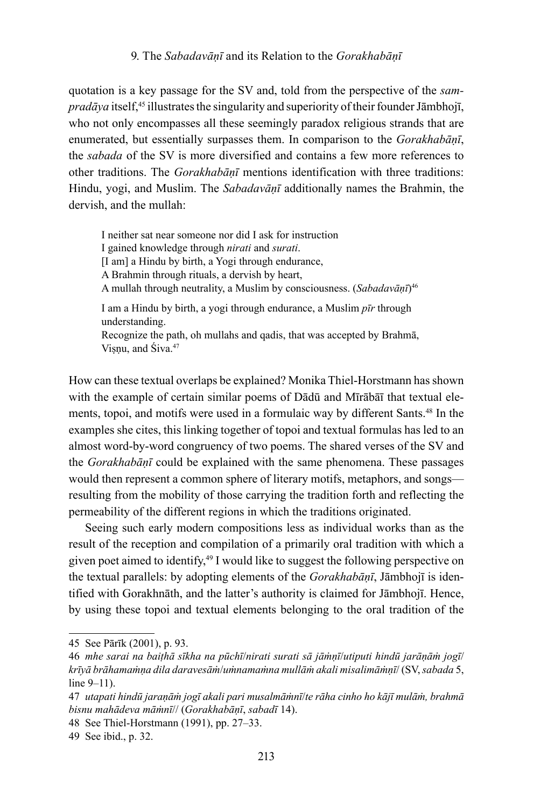#### 9. The *Sabadavāṇī* and its Relation to the *Gorakhabāṇī*

quotation is a key passage for the SV and, told from the perspective of the *sampradāya* itself,<sup>45</sup> illustrates the singularity and superiority of their founder Jāmbhojī, who not only encompasses all these seemingly paradox religious strands that are enumerated, but essentially surpasses them. In comparison to the *Gorakhabāṇī*, the *sabada* of the SV is more diversified and contains a few more references to other traditions. The *Gorakhabāṇī* mentions identification with three traditions: Hindu, yogi, and Muslim. The *Sabadavāṇī* additionally names the Brahmin, the dervish, and the mullah:

I neither sat near someone nor did I ask for instruction I gained knowledge through *nirati* and *surati*. [I am] a Hindu by birth, a Yogi through endurance, A Brahmin through rituals, a dervish by heart, A mullah through neutrality, a Muslim by consciousness. (*Sabadavāṇī*)<sup>46</sup> I am a Hindu by birth, a yogi through endurance, a Muslim *pīr* through understanding. Recognize the path, oh mullahs and qadis, that was accepted by Brahmā, Visnu, and Śiva.<sup>47</sup>

How can these textual overlaps be explained? Monika Thiel-Horstmann has shown with the example of certain similar poems of Dādū and Mīrābāī that textual elements, topoi, and motifs were used in a formulaic way by different Sants.48 In the examples she cites, this linking together of topoi and textual formulas has led to an almost word-by-word congruency of two poems. The shared verses of the SV and the *Gorakhabāṇī* could be explained with the same phenomena. These passages would then represent a common sphere of literary motifs, metaphors, and songs resulting from the mobility of those carrying the tradition forth and reflecting the permeability of the different regions in which the traditions originated.

Seeing such early modern compositions less as individual works than as the result of the reception and compilation of a primarily oral tradition with which a given poet aimed to identify,<sup>49</sup> I would like to suggest the following perspective on the textual parallels: by adopting elements of the *Gorakhabāṇī*, Jāmbhojī is identified with Gorakhnāth, and the latter's authority is claimed for Jāmbhojī. Hence, by using these topoi and textual elements belonging to the oral tradition of the

<sup>45</sup> See Pārīk (2001), p. 93.

<sup>46</sup> *mhe sarai na baiṭhā sīkha na pūchī*/*nirati surati sā jāṁṇī*/*utiputi hindū jarāṇāṁ jogī*/ *krīyā brāhamaṁṇa dila daravesāṁ*/*uṁnamaṁna mullāṁ akali misalimāṁṇī*/ (SV, *sabada* 5, line 9–11).

<sup>47</sup> *utapati hindū jaraṇāṁ jogī akali pari musalmāṁnī*/*te rāha cinho ho kājī mulāṁ, brahmā bisnu mahādeva māṁnī*// (*Gorakhabāṇī*, *sabadī* 14).

<sup>48</sup> See Thiel-Horstmann (1991), pp. 27–33.

<sup>49</sup> See ibid., p. 32.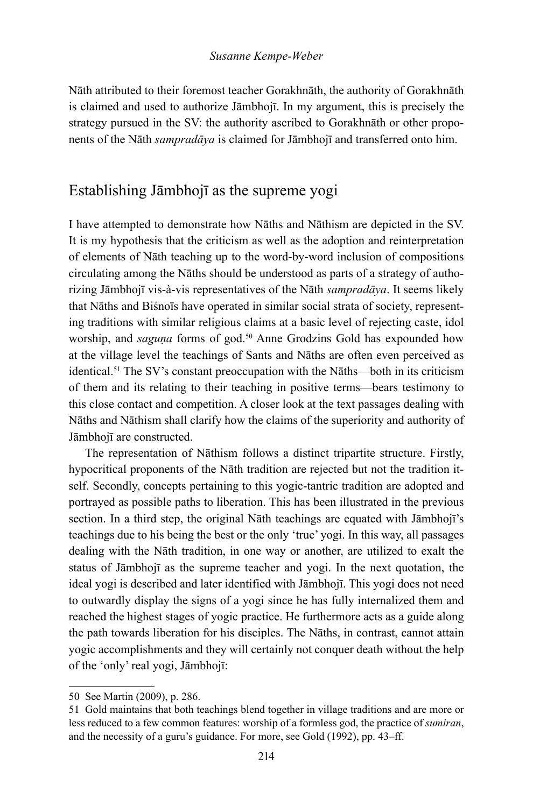Nāth attributed to their foremost teacher Gorakhnāth, the authority of Gorakhnāth is claimed and used to authorize Jāmbhojī. In my argument, this is precisely the strategy pursued in the SV: the authority ascribed to Gorakhnāth or other proponents of the Nāth *sampradāya* is claimed for Jāmbhojī and transferred onto him.

## Establishing Jāmbhojī as the supreme yogi

I have attempted to demonstrate how Nāths and Nāthism are depicted in the SV. It is my hypothesis that the criticism as well as the adoption and reinterpretation of elements of Nāth teaching up to the word-by-word inclusion of compositions circulating among the Nāths should be understood as parts of a strategy of authorizing Jāmbhojī vis-à-vis representatives of the Nāth *sampradāya*. It seems likely that Nāths and Biśnoīs have operated in similar social strata of society, representing traditions with similar religious claims at a basic level of rejecting caste, idol worship, and *saguna* forms of god.<sup>50</sup> Anne Grodzins Gold has expounded how at the village level the teachings of Sants and Nāths are often even perceived as identical.<sup>51</sup> The SV's constant preoccupation with the Nāths—both in its criticism of them and its relating to their teaching in positive terms—bears testimony to this close contact and competition. A closer look at the text passages dealing with Nāths and Nāthism shall clarify how the claims of the superiority and authority of Jāmbhojī are constructed.

The representation of Nāthism follows a distinct tripartite structure. Firstly, hypocritical proponents of the Nāth tradition are rejected but not the tradition itself. Secondly, concepts pertaining to this yogic-tantric tradition are adopted and portrayed as possible paths to liberation. This has been illustrated in the previous section. In a third step, the original Nāth teachings are equated with Jāmbhojī's teachings due to his being the best or the only 'true' yogi. In this way, all passages dealing with the Nāth tradition, in one way or another, are utilized to exalt the status of Jāmbhojī as the supreme teacher and yogi. In the next quotation, the ideal yogi is described and later identified with Jāmbhojī. This yogi does not need to outwardly display the signs of a yogi since he has fully internalized them and reached the highest stages of yogic practice. He furthermore acts as a guide along the path towards liberation for his disciples. The Nāths, in contrast, cannot attain yogic accomplishments and they will certainly not conquer death without the help of the 'only' real yogi, Jāmbhojī:

<sup>50</sup> See Martin (2009), p. 286.

<sup>51</sup> Gold maintains that both teachings blend together in village traditions and are more or less reduced to a few common features: worship of a formless god, the practice of *sumiran*, and the necessity of a guru's guidance. For more, see Gold (1992), pp. 43–ff.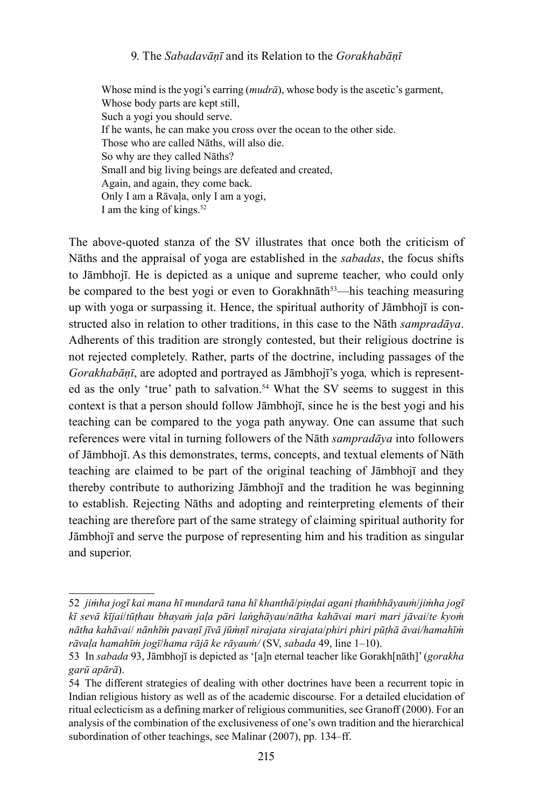#### 9. The *Sabadavāṇī* and its Relation to the *Gorakhabāṇī*

Whose mind is the yogi's earring (*mudrā*), whose body is the ascetic's garment, Whose body parts are kept still, Such a yogi you should serve. If he wants, he can make you cross over the ocean to the other side. Those who are called Nāths, will also die. So why are they called Nāths? Small and big living beings are defeated and created, Again, and again, they come back. Only I am a Rāvaḷa, only I am a yogi, I am the king of kings.<sup>52</sup>

The above-quoted stanza of the SV illustrates that once both the criticism of Nāths and the appraisal of yoga are established in the *sabadas*, the focus shifts to Jāmbhojī. He is depicted as a unique and supreme teacher, who could only be compared to the best yogi or even to Gorakhnāth<sup>53</sup>—his teaching measuring up with yoga or surpassing it. Hence, the spiritual authority of Jāmbhojī is constructed also in relation to other traditions, in this case to the Nāth *sampradāya*. Adherents of this tradition are strongly contested, but their religious doctrine is not rejected completely. Rather, parts of the doctrine, including passages of the *Gorakhabāṇī*, are adopted and portrayed as Jāmbhojī's yoga*,* which is represented as the only 'true' path to salvation.<sup>54</sup> What the SV seems to suggest in this context is that a person should follow Jāmbhojī, since he is the best yogi and his teaching can be compared to the yoga path anyway. One can assume that such references were vital in turning followers of the Nāth *sampradāya* into followers of Jāmbhojī. As this demonstrates, terms, concepts, and textual elements of Nāth teaching are claimed to be part of the original teaching of Jāmbhojī and they thereby contribute to authorizing Jāmbhojī and the tradition he was beginning to establish. Rejecting Nāths and adopting and reinterpreting elements of their teaching are therefore part of the same strategy of claiming spiritual authority for Jāmbhojī and serve the purpose of representing him and his tradition as singular and superior.

<sup>52</sup> *jiṁha jogī kai mana hī mundarā tana hī khanthā*/*piṇḍai agani ṭhaṁbhāyauṁ*/*jiṁha jogī kī sevā kījai*/*tūṭhau bhayaṁ jaḷa pāri laṅghāyau*/*nātha kahāvai mari mari jāvai*/*te kyoṁ nātha kahāvai*/ *nānhīṁ pavaṇī jīvā jūṁṇī nirajata sirajata*/*phiri phiri pūṭhā āvai/hamahīṁ rāvaḷa hamahīṁ jogī*/*hama rājā ke rāyauṁ/* (SV, *sabada* 49, line 1–10).

<sup>53</sup> In *sabada* 93, Jāmbhojī is depicted as '[a]n eternal teacher like Gorakh[nāth]' (*gorakha garū apārā*).

<sup>54</sup> The different strategies of dealing with other doctrines have been a recurrent topic in Indian religious history as well as of the academic discourse. For a detailed elucidation of ritual eclecticism as a defining marker of religious communities, see Granoff (2000). For an analysis of the combination of the exclusiveness of one's own tradition and the hierarchical subordination of other teachings, see Malinar (2007), pp. 134–ff.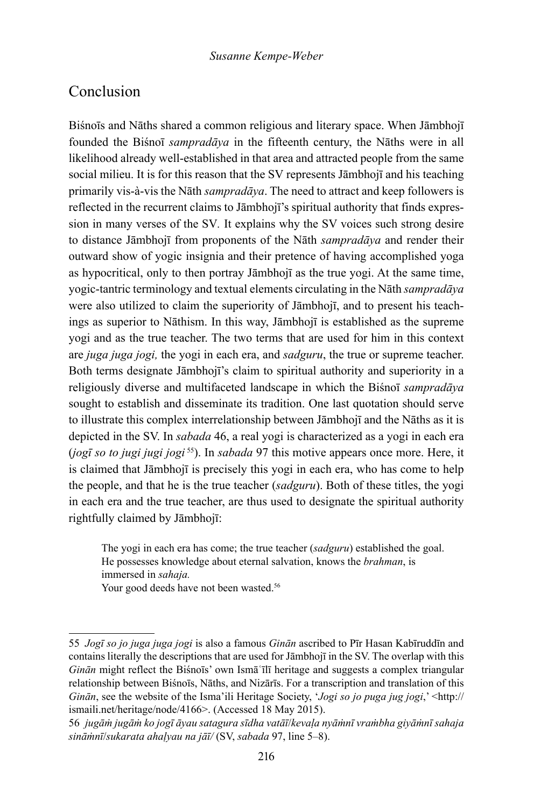## Conclusion

Biśnoīs and Nāths shared a common religious and literary space. When Jāmbhojī founded the Biśnoī *sampradāya* in the fifteenth century, the Nāths were in all likelihood already well-established in that area and attracted people from the same social milieu. It is for this reason that the SV represents Jāmbhojī and his teaching primarily vis-à-vis the Nāth *sampradāya*. The need to attract and keep followers is reflected in the recurrent claims to Jāmbhojī's spiritual authority that finds expression in many verses of the SV*.* It explains why the SV voices such strong desire to distance Jāmbhojī from proponents of the Nāth *sampradāya* and render their outward show of yogic insignia and their pretence of having accomplished yoga as hypocritical, only to then portray Jāmbhojī as the true yogi. At the same time, yogic-tantric terminology and textual elements circulating in the Nāth *sampradāya*  were also utilized to claim the superiority of Jāmbhojī, and to present his teachings as superior to Nāthism. In this way, Jāmbhojī is established as the supreme yogi and as the true teacher. The two terms that are used for him in this context are *juga juga jogi,* the yogi in each era, and *sadguru*, the true or supreme teacher. Both terms designate Jāmbhojī's claim to spiritual authority and superiority in a religiously diverse and multifaceted landscape in which the Biśnoī *sampradāya* sought to establish and disseminate its tradition. One last quotation should serve to illustrate this complex interrelationship between Jāmbhojī and the Nāths as it is depicted in the SV. In *sabada* 46, a real yogi is characterized as a yogi in each era (*jogī so to jugi jugi jogi* <sup>55</sup>). In *sabada* 97 this motive appears once more. Here, it is claimed that Jāmbhojī is precisely this yogi in each era, who has come to help the people, and that he is the true teacher (*sadguru*). Both of these titles, the yogi in each era and the true teacher, are thus used to designate the spiritual authority rightfully claimed by Jāmbhojī:

The yogi in each era has come; the true teacher (*sadguru*) established the goal. He possesses knowledge about eternal salvation, knows the *brahman*, is immersed in *sahaja.*

Your good deeds have not been wasted.<sup>56</sup>

<sup>55</sup> *Jogī so jo juga juga jogi* is also a famous *Ginān* ascribed to Pīr Hasan Kabīruddīn and contains literally the descriptions that are used for Jāmbhojī in the SV. The overlap with this *Ginān* might reflect the Biśnoīs' own Ismāʿīlī heritage and suggests a complex triangular relationship between Biśnoīs, Nāths, and Nizārīs. For a transcription and translation of this *Ginān*, see the website of the Isma'ili Heritage Society, '*Jogi so jo puga jug jogi*,' <http:// ismaili.net/heritage/node/4166>. (Accessed 18 May 2015).

<sup>56</sup> *jugāṁ jugāṁ ko jogī āyau satagura sīdha vatāī*/*kevaḷa nyāṁnī vraṁbha giyāṁnī sahaja sināṁnī*/*sukarata ahaḷyau na jāī/* (SV, *sabada* 97, line 5–8).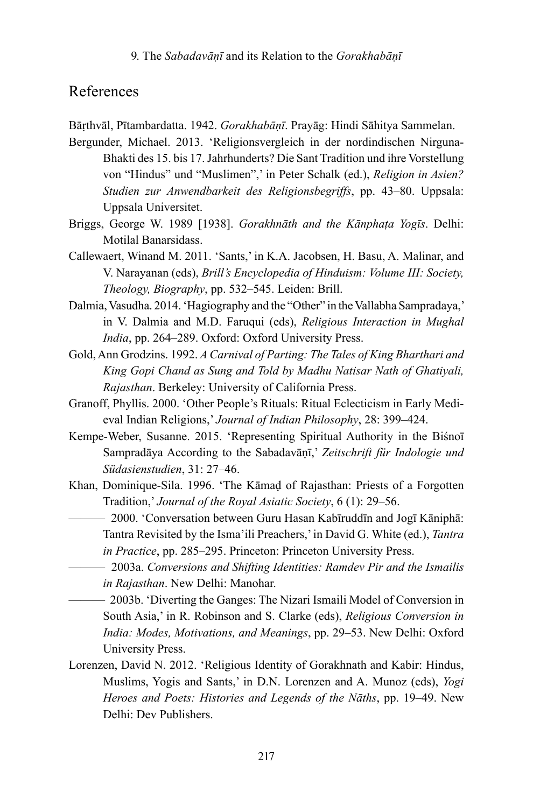## References

Bāṛthvāl, Pītambardatta. 1942. *Gorakhabāṇī*. Prayāg: Hindi Sāhitya Sammelan.

Bergunder, Michael. 2013. 'Religionsvergleich in der nordindischen Nirguna-Bhakti des 15. bis 17. Jahrhunderts? Die Sant Tradition und ihre Vorstellung von "Hindus" und "Muslimen",' in Peter Schalk (ed.), *Religion in Asien? Studien zur Anwendbarkeit des Religionsbegriffs*, pp. 43–80. Uppsala: Uppsala Universitet.

- Briggs, George W. 1989 [1938]. *Gorakhnāth and the Kānphaṭa Yogīs*. Delhi: Motilal Banarsidass.
- Callewaert, Winand M. 2011. 'Sants,' in K.A. Jacobsen, H. Basu, A. Malinar, and V. Narayanan (eds), *Brill's Encyclopedia of Hinduism: Volume III: Society, Theology, Biography*, pp. 532–545. Leiden: Brill.
- Dalmia, Vasudha. 2014. 'Hagiography and the "Other" in the Vallabha Sampradaya,' in V. Dalmia and M.D. Faruqui (eds), *Religious Interaction in Mughal India*, pp. 264–289. Oxford: Oxford University Press.
- Gold, Ann Grodzins. 1992. *A Carnival of Parting: The Tales of King Bharthari and King Gopi Chand as Sung and Told by Madhu Natisar Nath of Ghatiyali, Rajasthan*. Berkeley: University of California Press.
- Granoff, Phyllis. 2000. 'Other People's Rituals: Ritual Eclecticism in Early Medieval Indian Religions,' *Journal of Indian Philosophy*, 28: 399–424.
- Kempe-Weber, Susanne. 2015. 'Representing Spiritual Authority in the Biśnoī Sampradāya According to the Sabadavāṇī,' *Zeitschrift für Indologie und Südasienstudien*, 31: 27–46.
- Khan, Dominique-Sila. 1996. 'The Kāmaḍ of Rajasthan: Priests of a Forgotten Tradition,' *Journal of the Royal Asiatic Society*, 6 (1): 29–56.
	- ——— 2000. 'Conversation between Guru Hasan Kabīruddīn and Jogī Kāniphā: Tantra Revisited by the Isma'ili Preachers,' in David G. White (ed.), *Tantra in Practice*, pp. 285–295. Princeton: Princeton University Press.
		- ——— 2003a. *Conversions and Shifting Identities: Ramdev Pir and the Ismailis in Rajasthan*. New Delhi: Manohar.
- ——— 2003b. 'Diverting the Ganges: The Nizari Ismaili Model of Conversion in South Asia,' in R. Robinson and S. Clarke (eds), *Religious Conversion in India: Modes, Motivations, and Meanings*, pp. 29–53. New Delhi: Oxford University Press.
- Lorenzen, David N. 2012. 'Religious Identity of Gorakhnath and Kabir: Hindus, Muslims, Yogis and Sants,' in D.N. Lorenzen and A. Munoz (eds), *Yogi Heroes and Poets: Histories and Legends of the Nāths*, pp. 19–49. New Delhi: Dev Publishers.